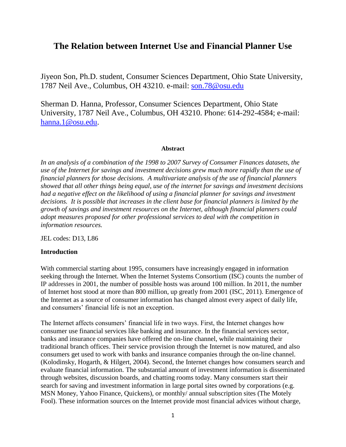# **The Relation between Internet Use and Financial Planner Use**

Jiyeon Son, Ph.D. student, Consumer Sciences Department, Ohio State University, 1787 Neil Ave., Columbus, OH 43210. e-mail: [son.78@osu.edu](mailto:son.78@osu.edu)

Sherman D. Hanna, Professor, Consumer Sciences Department, Ohio State University, 1787 Neil Ave., Columbus, OH 43210. Phone: 614-292-4584; e-mail: [hanna.1@osu.edu.](mailto:hanna.1@osu.edu)

### **Abstract**

*In an analysis of a combination of the 1998 to 2007 Survey of Consumer Finances datasets, the use of the Internet for savings and investment decisions grew much more rapidly than the use of financial planners for those decisions. A multivariate analysis of the use of financial planners showed that all other things being equal, use of the internet for savings and investment decisions had a negative effect on the likelihood of using a financial planner for savings and investment decisions. It is possible that increases in the client base for financial planners is limited by the growth of savings and investment resources on the Internet, although financial planners could adopt measures proposed for other professional services to deal with the competition in information resources.*

JEL codes: D13, L86

### **Introduction**

With commercial starting about 1995, consumers have increasingly engaged in information seeking through the Internet. When the Internet Systems Consortium (ISC) counts the number of IP addresses in 2001, the number of possible hosts was around 100 million. In 2011, the number of Internet host stood at more than 800 million, up greatly from 2001 (ISC, 2011). Emergence of the Internet as a source of consumer information has changed almost every aspect of daily life, and consumers' financial life is not an exception.

The Internet affects consumers' financial life in two ways. First, the Internet changes how consumer use financial services like banking and insurance. In the financial services sector, banks and insurance companies have offered the on-line channel, while maintaining their traditional branch offices. Their service provision through the Internet is now matured, and also consumers get used to work with banks and insurance companies through the on-line channel. (Kolodinsky, Hogarth, & Hilgert, 2004). Second, the Internet changes how consumers search and evaluate financial information. The substantial amount of investment information is disseminated through websites, discussion boards, and chatting rooms today. Many consumers start their search for saving and investment information in large portal sites owned by corporations (e.g. MSN Money, Yahoo Finance, Quickens), or monthly/ annual subscription sites (The Motely Fool). These information sources on the Internet provide most financial advices without charge,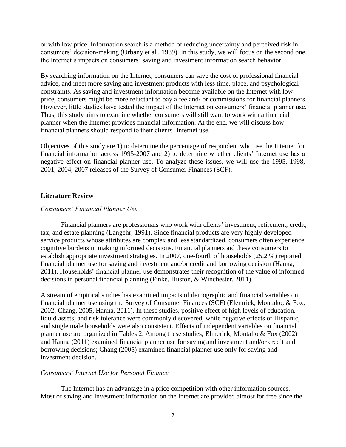or with low price. Information search is a method of reducing uncertainty and perceived risk in consumers' decision-making (Urbany et al., 1989). In this study, we will focus on the second one, the Internet's impacts on consumers' saving and investment information search behavior.

By searching information on the Internet, consumers can save the cost of professional financial advice, and meet more saving and investment products with less time, place, and psychological constraints. As saving and investment information become available on the Internet with low price, consumers might be more reluctant to pay a fee and/ or commissions for financial planners. However, little studies have tested the impact of the Internet on consumers' financial planner use. Thus, this study aims to examine whether consumers will still want to work with a financial planner when the Internet provides financial information. At the end, we will discuss how financial planners should respond to their clients' Internet use.

Objectives of this study are 1) to determine the percentage of respondent who use the Internet for financial information across 1995-2007 and 2) to determine whether clients' Internet use has a negative effect on financial planner use. To analyze these issues, we will use the 1995, 1998, 2001, 2004, 2007 releases of the Survey of Consumer Finances (SCF).

# **Literature Review**

# *Consumers' Financial Planner Use*

Financial planners are professionals who work with clients' investment, retirement, credit, tax, and estate planning (Langehr, 1991). Since financial products are very highly developed service products whose attributes are complex and less standardized, consumers often experience cognitive burdens in making informed decisions. Financial planners aid these consumers to establish appropriate investment strategies. In 2007, one-fourth of households (25.2 %) reported financial planner use for saving and investment and/or credit and borrowing decision (Hanna, 2011). Households' financial planner use demonstrates their recognition of the value of informed decisions in personal financial planning (Finke, Huston, & Winchester, 2011).

A stream of empirical studies has examined impacts of demographic and financial variables on financial planner use using the Survey of Consumer Finances (SCF) (Elemrick, Montalto, & Fox, 2002; Chang, 2005, Hanna, 2011). In these studies, positive effect of high levels of education, liquid assets, and risk tolerance were commonly discovered, while negative effects of Hispanic, and single male households were also consistent. Effects of independent variables on financial planner use are organized in Tables 2. Among these studies, Elmerick, Montalto & Fox (2002) and Hanna (2011) examined financial planner use for saving and investment and/or credit and borrowing decisions; Chang (2005) examined financial planner use only for saving and investment decision.

### *Consumers' Internet Use for Personal Finance*

The Internet has an advantage in a price competition with other information sources. Most of saving and investment information on the Internet are provided almost for free since the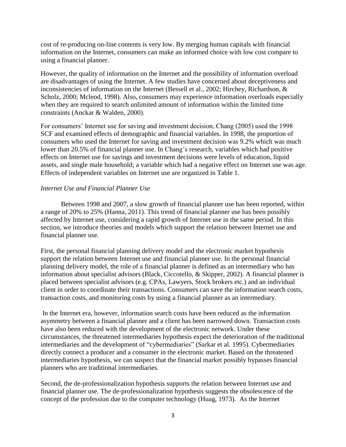cost of re-producing on-line contents is very low. By merging human capitals with financial information on the Internet, consumers can make an informed choice with low cost compare to using a financial planner.

However, the quality of information on the Internet and the possibility of information overload are disadvantages of using the Internet. A few studies have concerned about deceptiveness and inconsistencies of information on the Internet (Bessell et al., 2002; Hirchey, Richardson, & Scholz, 2000; Mcleod, 1998). Also, consumers may experience information overloads especially when they are required to search unlimited amount of information within the limited time constraints (Anckar & Walden, 2000).

For consumers' Internet use for saving and investment decision, Chang (2005) used the 1998 SCF and examined effects of demographic and financial variables. In 1998, the proportion of consumers who used the Internet for saving and investment decision was 9.2% which was much lower than 20.5% of financial planner use. In Chang's research, variables which had positive effects on Internet use for savings and investment decisions were levels of education, liquid assets, and single male household; a variable which had a negative effect on Internet use was age. Effects of independent variables on Internet use are organized in Table 1.

# *Internet Use and Financial Planner Use*

Between 1998 and 2007, a slow growth of financial planner use has been reported, within a range of 20% to 25% (Hanna, 2011). This trend of financial planner use has been possibly affected by Internet use, considering a rapid growth of Internet use in the same period. In this section, we introduce theories and models which support the relation between Internet use and financial planner use.

First, the personal financial planning delivery model and the electronic market hypothesis support the relation between Internet use and financial planner use. In the personal financial planning delivery model, the role of a financial planner is defined as an intermediary who has information about specialist advisors (Black, Ciccotello, & Skipper, 2002). A financial planner is placed between specialist advisors (e.g. CPAs, Lawyers, Stock brokers etc.) and an individual client in order to coordinate their transactions. Consumers can save the information search costs, transaction costs, and monitoring costs by using a financial planner as an intermediary.

In the Internet era, however, information search costs have been reduced as the information asymmetry between a financial planner and a client has been narrowed down. Transaction costs have also been reduced with the development of the electronic network. Under these circumstances, the threatened intermediaries hypothesis expect the deterioration of the traditional intermediaries and the development of "cybermediaries" (Sarkar et al. 1995). Cybermediaries directly connect a producer and a consumer in the electronic market. Based on the threatened intermediaries hypothesis, we can suspect that the financial market possibly bypasses financial planners who are traditional intermediaries.

Second, the de-professionalization hypothesis supports the relation between Internet use and financial planner use. The de-professionalization hypothesis suggests the obsolescence of the concept of the profession due to the computer technology (Huag, 1973). As the Internet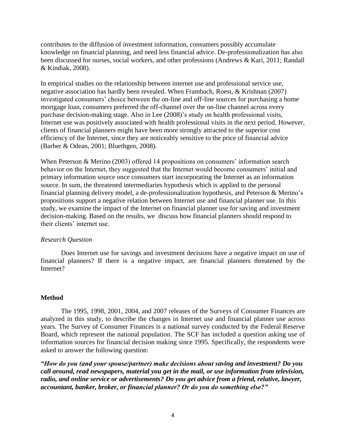contributes to the diffusion of investment information, consumers possibly accumulate knowledge on financial planning, and need less financial advice. De-professionalization has also been discussed for nurses, social workers, and other professions (Andrews & Kari, 2011; Randall & Kindiak, 2008).

In empirical studies on the relationship between internet use and professional service use, negative association has hardly been revealed. When Frambach, Roest, & Krishnan (2007) investigated consumers' choice between the on-line and off-line sources for purchasing a home mortgage loan, consumers preferred the off-channel over the on-line channel across every purchase decision-making stage. Also in Lee (2008)'s study on health professional visits, Internet use was positively associated with health professional visits in the next period. However, clients of financial planners might have been more strongly attracted to the superior cost efficiency of the Internet, since they are noticeably sensitive to the price of financial advice (Barber & Odean, 2001; Bluethgen, 2008).

When Peterson & Merino (2003) offered 14 propositions on consumers' information search behavior on the Internet, they suggested that the Internet would become consumers' initial and primary information source once consumers start incorporating the Internet as an information source. In sum, the threatened intermediaries hypothesis which is applied to the personal financial planning delivery model, a de-professionalization hypothesis, and Peterson & Merino's propositions support a negative relation between Internet use and financial planner use. In this study, we examine the impact of the Internet on financial planner use for saving and investment decision-making. Based on the results, we discuss how financial planners should respond to their clients' internet use.

# *Research Question*

Does Internet use for savings and investment decisions have a negative impact on use of financial planners? If there is a negative impact, are financial planners threatened by the Internet?

# **Method**

The 1995, 1998, 2001, 2004, and 2007 releases of the Surveys of Consumer Finances are analyzed in this study, to describe the changes in Internet use and financial planner use across years. The Survey of Consumer Finances is a national survey conducted by the Federal Reserve Board, which represent the national population. The SCF has included a question asking use of information sources for financial decision making since 1995. Specifically, the respondents were asked to answer the following question:

*"How do you (and your spouse/partner) make decisions about saving and investment? Do you call around, read newspapers, material you get in the mail, or use information from television, radio, and online service or advertisements? Do you get advice from a friend, relative, lawyer, accountant, banker, broker, or financial planner? Or do you do something else?"*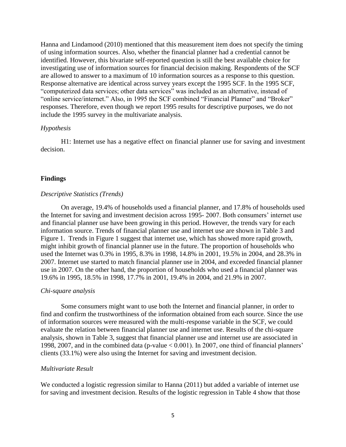Hanna and Lindamood (2010) mentioned that this measurement item does not specify the timing of using information sources. Also, whether the financial planner had a credential cannot be identified. However, this bivariate self-reported question is still the best available choice for investigating use of information sources for financial decision making. Respondents of the SCF are allowed to answer to a maximum of 10 information sources as a response to this question. Response alternative are identical across survey years except the 1995 SCF. In the 1995 SCF, "computerized data services; other data services" was included as an alternative, instead of "online service/internet." Also, in 1995 the SCF combined "Financial Planner" and "Broker" responses. Therefore, even though we report 1995 results for descriptive purposes, we do not include the 1995 survey in the multivariate analysis.

### *Hypothesis*

H1: Internet use has a negative effect on financial planner use for saving and investment decision.

#### **Findings**

#### *Descriptive Statistics (Trends)*

On average, 19.4% of households used a financial planner, and 17.8% of households used the Internet for saving and investment decision across 1995- 2007. Both consumers' internet use and financial planner use have been growing in this period. However, the trends vary for each information source. Trends of financial planner use and internet use are shown in Table 3 and Figure 1. Trends in Figure 1 suggest that internet use, which has showed more rapid growth, might inhibit growth of financial planner use in the future. The proportion of households who used the Internet was 0.3% in 1995, 8.3% in 1998, 14.8% in 2001, 19.5% in 2004, and 28.3% in 2007. Internet use started to match financial planner use in 2004, and exceeded financial planner use in 2007. On the other hand, the proportion of households who used a financial planner was 19.6% in 1995, 18.5% in 1998, 17.7% in 2001, 19.4% in 2004, and 21.9% in 2007.

#### *Chi-square analysis*

Some consumers might want to use both the Internet and financial planner, in order to find and confirm the trustworthiness of the information obtained from each source. Since the use of information sources were measured with the multi-response variable in the SCF, we could evaluate the relation between financial planner use and internet use. Results of the chi-square analysis, shown in Table 3, suggest that financial planner use and internet use are associated in 1998, 2007, and in the combined data (p-value < 0.001). In 2007, one third of financial planners' clients (33.1%) were also using the Internet for saving and investment decision.

### *Multivariate Result*

We conducted a logistic regression similar to Hanna (2011) but added a variable of internet use for saving and investment decision. Results of the logistic regression in Table 4 show that those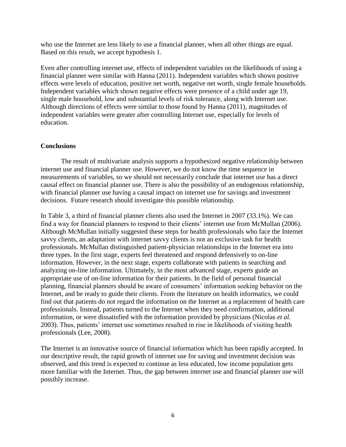who use the Internet are less likely to use a financial planner, when all other things are equal. Based on this result, we accept hypothesis 1.

Even after controlling internet use, effects of independent variables on the likelihoods of using a financial planner were similar with Hanna (2011). Independent variables which shown positive effects were levels of education, positive net worth, negative net worth, single female households. Independent variables which shown negative effects were presence of a child under age 19, single male household, low and substantial levels of risk tolerance, along with Internet use. Although directions of effects were similar to those found by Hanna (2011), magnitudes of independent variables were greater after controlling Internet use, especially for levels of education.

# **Conclusions**

The result of multivariate analysis supports a hypothesized negative relationship between internet use and financial planner use. However, we do not know the time sequence in measurements of variables, so we should not necessarily conclude that internet use has a direct causal effect on financial planner use. There is also the possibility of an endogenous relationship, with financial planner use having a causal impact on internet use for savings and investment decisions. Future research should investigate this possible relationship.

In Table 3, a third of financial planner clients also used the Internet in 2007 (33.1%). We can find a way for financial planners to respond to their clients' internet use from McMullan (2006). Although McMullan initially suggested these steps for health professionals who face the Internet savvy clients, an adaptation with internet savvy clients is not an exclusive task for health professionals. McMullan distinguished patient-physician relationships in the Internet era into three types. In the first stage, experts feel threatened and respond defensively to on-line information. However, in the next stage, experts collaborate with patients in searching and analyzing on-line information. Ultimately, in the most advanced stage, experts guide an appropriate use of on-line information for their patients. In the field of personal financial planning, financial planners should be aware of consumers' information seeking behavior on the Internet, and be ready to guide their clients. From the literature on health informatics, we could find out that patients do not regard the information on the Internet as a replacement of health care professionals. Instead, patients turned to the Internet when they need confirmation, additional information, or were dissatisfied with the information provided by physicians (Nicolas *et al.* 2003). Thus, patients' internet use sometimes resulted in rise in likelihoods of visiting health professionals (Lee, 2008).

The Internet is an innovative source of financial information which has been rapidly accepted. In our descriptive result, the rapid growth of internet use for saving and investment decision was observed, and this trend is expected to continue as less educated, low income population gets more familiar with the Internet. Thus, the gap between internet use and financial planner use will possibly increase.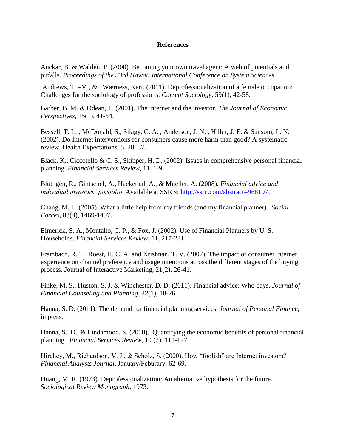### **References**

Anckar, B. & Walden, P. (2000). Becoming your own travel agent: A web of potentials and pitfalls. *Proceedings of the 33rd Hawaii International Conference on System Sciences*.

[Andrews,](http://csi.sagepub.com/search?author1=Therese+Marie+Andrews&sortspec=date&submit=Submit) T. –M., & [Wærness,](http://csi.sagepub.com/search?author1=Kari+W%C3%A6rness&sortspec=date&submit=Submit) Kari. (2011). Deprofessionalization of a female occupation: Challenges for the sociology of professions. *Current Sociology,* 59(1), 42-58.

Barber, B. M. & Odean, T. (2001). The internet and the investor. *The Journal of Economic Perspectives*, 15(1). 41-54.

Bessell, T. L. , McDonald, S., Silagy, C. A. , Anderson, J. N. , Hiller, J. E. & Sansom, L. N. (2002). Do Internet interventions for consumers cause more harm than good? A systematic review. Health Expectations, 5, 28–37.

Black, K., Ciccotello & C. S., Skipper, H. D. (2002). Issues in comprehensive personal financial planning. *Financial Services Review*, 11, 1-9.

Bluthgen, R., Gintschel, A., Hackethal, A., & Mueller, A. (2008). *Financial advice and individual investors' portfolio*. Available at SSRN: [http://ssrn.com/abstract=968197.](http://ssrn.com/abstract=968197)

Chang, M. L. (2005). What a little help from my friends (and my financial planner). *Social Forces*, 83(4), 1469-1497.

Elmerick, S. A., Montalto, C. P., & Fox, J. (2002). Use of Financial Planners by U. S. Households. *Financial Services Review,* 11, 217-231.

Frambach, R. T., Roest, H. C. A. and Krishnan, T. V. (2007). The impact of consumer internet experience on channel preference and usage intentions across the different stages of the buying process. Journal of Interactive Marketing, 21(2), 26-41.

Finke, M. S., Huston, S. J. & Winchester, D. D. (2011). Financial advice: Who pays. *Journal of Financial Counseling and Planning*, 22(1), 18-26.

Hanna, S. D. (2011). The demand for financial planning services. *Journal of Personal Finance,* in press*.* 

Hanna, S. D., & Lindamood, S. (2010). Quantifying the economic benefits of personal financial planning. *Financial Services Review*, 19 (2), 111-127

Hirchey, M., Richardson, V. J., & Scholz, S. (2000). How "foolish" are Internet investors? *Financial Analysts Journal*, January/Feburary, 62-69.

Huang, M. R. (1973). Deprofessionalization: An alternative hypothesis for the future. *Sociological Review Monograph*, 1973.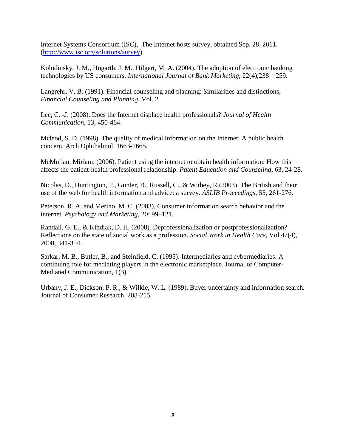Internet Systems Consortium (ISC), The Internet hosts survey, obtained Sep. 28. 2011. [\(http://www.isc.org/solutions/survey\)](http://www.isc.org/solutions/survey)

Kolodinsky, J. M., Hogarth, J. M., Hilgert, M. A. (2004). The adoption of electronic banking technologies by US consumers. *International Journal of Bank Marketing*, 22(4),238 – 259.

Langrehr, V. B. (1991). Financial counseling and planning: Similarities and distinctions, *Financial Counseling and Planning*, Vol. 2.

Lee, C. -J. (2008). Does the Internet displace health professionals? *Journal of Health Communication*, 13, 450-464.

Mcleod, S. D. (1998). The quality of medical information on the Internet: A public health concern. Arch Ophthalmol. 1663-1665.

McMullan, Miriam. (2006). Patient using the internet to obtain health information: How this affects the patient-health professional relationship. *Patent Education and Counseling*, 63, 24-28.

Nicolas, D., Huntington, P., Gunter, B., Russell, C., & Withey, R.(2003). The British and their use of the web for health information and advice: a survey. *ASLIB Proceedings*, 55, 261-276.

Peterson, R. A. and Merino, M. C. (2003), Consumer information search behavior and the internet. *Psychology and Marketing*, 20: 99–121.

[Randall, G. E.,](http://psycnet.apa.org/index.cfm?fa=search.searchResults&latSearchType=a&term=Randall,%20Glen%20E.) & [Kindiak, D. H.](http://psycnet.apa.org/index.cfm?fa=search.searchResults&latSearchType=a&term=Kindiak,%20Darlene%20H.) (2008). Deprofessionalization or postprofessionalization? Reflections on the state of social work as a profession. *Social Work in Health Care*, Vol 47(4), 2008, 341-354.

Sarkar, M. B., Butler, B., and Steinfield, C. (1995). Intermediaries and cybermediaries: A continuing role for mediating players in the electronic marketplace. Journal of Computer-Mediated Communication, 1(3).

Urbany, J. E., Dickson, P. R., & Wilkie, W. L. (1989). Buyer uncertainty and information search. Journal of Consumer Research, 208-215.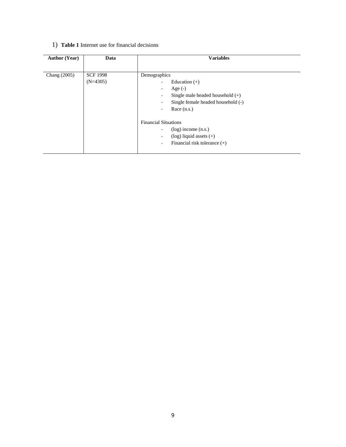# 1) **Table 1** Internet use for financial decisions

| <b>Author (Year)</b> | Data                          | <b>Variables</b>                                                                                                                                                                             |  |  |  |
|----------------------|-------------------------------|----------------------------------------------------------------------------------------------------------------------------------------------------------------------------------------------|--|--|--|
| Chang (2005)         | <b>SCF 1998</b><br>$(N=4305)$ | Demographics<br>Education $(+)$<br>۰.<br>Age $(-)$<br>۰.<br>Single male headed household $(+)$<br>۰.<br>Single female headed household (-)<br>٠<br>Race $(n.s.)$<br>$\overline{\phantom{0}}$ |  |  |  |
|                      |                               | <b>Financial Situations</b><br>$(log)$ income $(n.s.)$<br>۰.<br>$(\log)$ liquid assets $(+)$<br>$\overline{\phantom{0}}$<br>Financial risk tolerance $(+)$<br>۰.                             |  |  |  |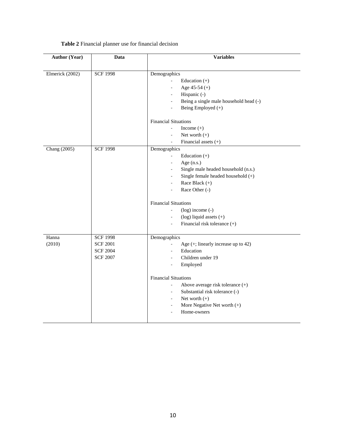| <b>Author (Year)</b> | Data            | <b>Variables</b>                                                   |  |  |  |
|----------------------|-----------------|--------------------------------------------------------------------|--|--|--|
|                      |                 |                                                                    |  |  |  |
| Elmerick (2002)      | <b>SCF 1998</b> | Demographics                                                       |  |  |  |
|                      |                 | Education $(+)$<br>$\Box$                                          |  |  |  |
|                      |                 | Age $45-54 (+)$<br>$\overline{\phantom{a}}$                        |  |  |  |
|                      |                 | Hispanic (-)<br>$\overline{\phantom{a}}$                           |  |  |  |
|                      |                 | Being a single male household head (-)<br>$\overline{\phantom{a}}$ |  |  |  |
|                      |                 | Being Employed (+)<br>$\Box$                                       |  |  |  |
|                      |                 | <b>Financial Situations</b>                                        |  |  |  |
|                      |                 | Income $(+)$                                                       |  |  |  |
|                      |                 | Net worth $(+)$                                                    |  |  |  |
|                      |                 | Financial assets $(+)$                                             |  |  |  |
| Chang (2005)         | <b>SCF 1998</b> | Demographics                                                       |  |  |  |
|                      |                 | Education $(+)$<br>÷,                                              |  |  |  |
|                      |                 | Age (n.s.)<br>$\overline{\phantom{a}}$                             |  |  |  |
|                      |                 | Single male headed household (n.s.)<br>$\overline{\phantom{a}}$    |  |  |  |
|                      |                 | Single female headed household (+)<br>$\blacksquare$               |  |  |  |
|                      |                 | Race Black $(+)$<br>$\overline{\phantom{a}}$                       |  |  |  |
|                      |                 | Race Other (-)<br>$\overline{\phantom{a}}$                         |  |  |  |
|                      |                 | <b>Financial Situations</b>                                        |  |  |  |
|                      |                 | $(log)$ income $(-)$<br>$\overline{\phantom{a}}$                   |  |  |  |
|                      |                 | $(log)$ liquid assets $(+)$<br>$\overline{\phantom{a}}$            |  |  |  |
|                      |                 | Financial risk tolerance (+)<br>$\overline{\phantom{a}}$           |  |  |  |
| Hanna                | <b>SCF 1998</b> | Demographics                                                       |  |  |  |
| (2010)               | <b>SCF 2001</b> | Age $(+;$ linearly increase up to 42)<br>$\overline{\phantom{a}}$  |  |  |  |
|                      | <b>SCF 2004</b> | Education                                                          |  |  |  |
|                      | <b>SCF 2007</b> | Children under 19<br>÷                                             |  |  |  |
|                      |                 | Employed                                                           |  |  |  |
|                      |                 | <b>Financial Situations</b>                                        |  |  |  |
|                      |                 | Above average risk tolerance (+)<br>$\sim$                         |  |  |  |
|                      |                 | Substantial risk tolerance (-)<br>$\overline{\phantom{a}}$         |  |  |  |
|                      |                 | Net worth $(+)$<br>$\sim$                                          |  |  |  |
|                      |                 | More Negative Net worth (+)<br>$\overline{\phantom{a}}$            |  |  |  |
|                      |                 | Home-owners                                                        |  |  |  |
|                      |                 |                                                                    |  |  |  |

### **Table 2** Financial planner use for financial decision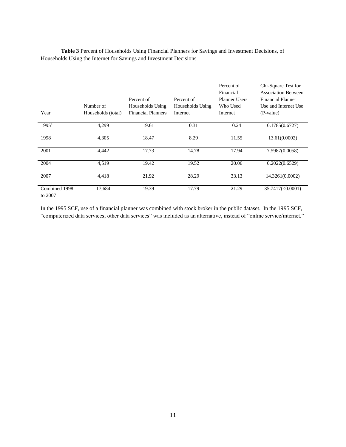|                   |                    |                           |                  | Percent of           | Chi-Square Test for        |
|-------------------|--------------------|---------------------------|------------------|----------------------|----------------------------|
|                   |                    |                           |                  | Financial            | <b>Association Between</b> |
|                   |                    | Percent of                | Percent of       | <b>Planner Users</b> | <b>Financial Planner</b>   |
|                   | Number of          | Households Using          | Households Using | Who Used             | Use and Internet Use       |
| Year              | Households (total) | <b>Financial Planners</b> | Internet         | Internet             | (P-value)                  |
|                   |                    |                           |                  |                      |                            |
| $1995^{\text{a}}$ | 4,299              | 19.61                     | 0.31             | 0.24                 | 0.1785(0.6727)             |
|                   |                    |                           |                  |                      |                            |
| 1998              | 4,305              | 18.47                     | 8.29             | 11.55                | 13.61(0.0002)              |
|                   |                    |                           |                  |                      |                            |
| 2001              | 4,442              | 17.73                     | 14.78            | 17.94                | 7.5987(0.0058)             |
|                   |                    |                           |                  |                      |                            |
| 2004              | 4,519              | 19.42                     | 19.52            | 20.06                | 0.2022(0.6529)             |
|                   |                    |                           |                  |                      |                            |
| 2007              | 4,418              | 21.92                     | 28.29            | 33.13                | 14.3261(0.0002)            |
|                   |                    |                           |                  |                      |                            |
| Combined 1998     | 17,684             | 19.39                     | 17.79            | 21.29                | $35.7417 \times 0.0001$    |
| to 2007           |                    |                           |                  |                      |                            |

**Table 3** Percent of Households Using Financial Planners for Savings and Investment Decisions, of Households Using the Internet for Savings and Investment Decisions

In the 1995 SCF, use of a financial planner was combined with stock broker in the public dataset. In the 1995 SCF, "computerized data services; other data services" was included as an alternative, instead of "online service/internet."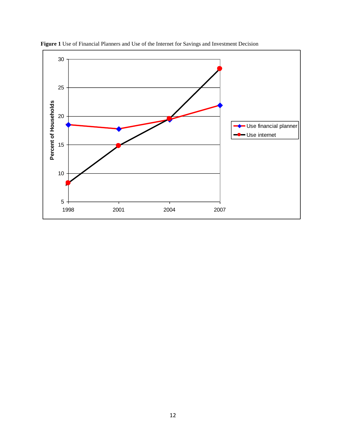

**Figure 1** Use of Financial Planners and Use of the Internet for Savings and Investment Decision